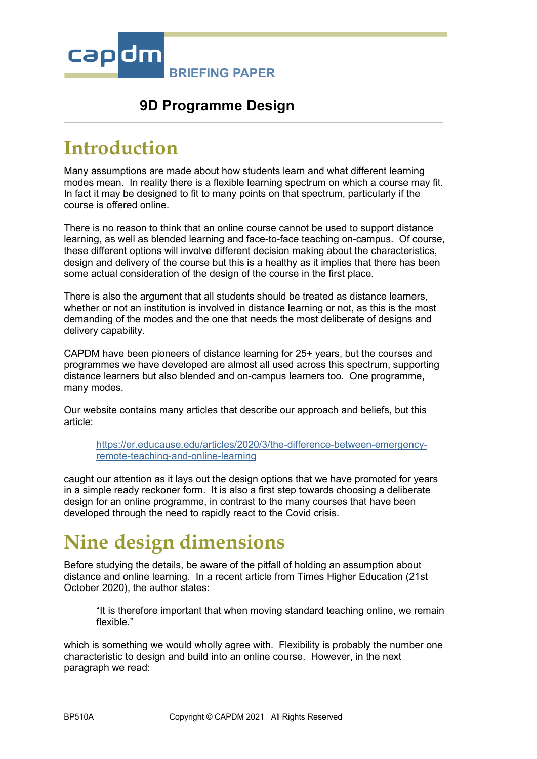

### **9D Programme Design**

### **Introduction**

Many assumptions are made about how students learn and what different learning modes mean. In reality there is a flexible learning spectrum on which a course may fit. In fact it may be designed to fit to many points on that spectrum, particularly if the course is offered online.

There is no reason to think that an online course cannot be used to support distance learning, as well as blended learning and face-to-face teaching on-campus. Of course, these different options will involve different decision making about the characteristics, design and delivery of the course but this is a healthy as it implies that there has been some actual consideration of the design of the course in the first place.

There is also the argument that all students should be treated as distance learners, whether or not an institution is involved in distance learning or not, as this is the most demanding of the modes and the one that needs the most deliberate of designs and delivery capability.

CAPDM have been pioneers of distance learning for 25+ years, but the courses and programmes we have developed are almost all used across this spectrum, supporting distance learners but also blended and on-campus learners too. One programme, many modes.

Our website contains many articles that describe our approach and beliefs, but this article:

[https://er.educause.edu/articles/2020/3/the-difference-between-emergency](https://er.educause.edu/articles/2020/3/the-difference-between-emergency-remote-teaching-and-online-learning)[remote-teaching-and-online-learning](https://er.educause.edu/articles/2020/3/the-difference-between-emergency-remote-teaching-and-online-learning)

caught our attention as it lays out the design options that we have promoted for years in a simple ready reckoner form. It is also a first step towards choosing a deliberate design for an online programme, in contrast to the many courses that have been developed through the need to rapidly react to the Covid crisis.

# **Nine design dimensions**

Before studying the details, be aware of the pitfall of holding an assumption about distance and online learning. In a recent article from Times Higher Education (21st October 2020), the author states:

"It is therefore important that when moving standard teaching online, we remain flexible."

which is something we would wholly agree with. Flexibility is probably the number one characteristic to design and build into an online course. However, in the next paragraph we read: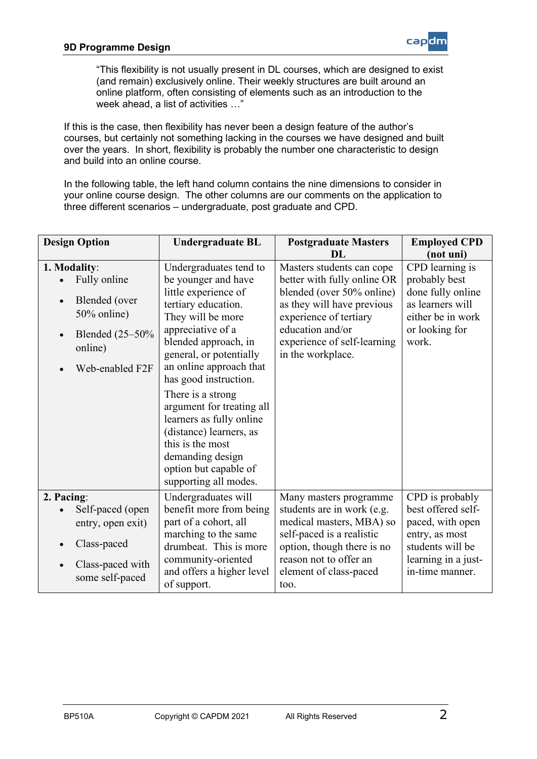

"This flexibility is not usually present in DL courses, which are designed to exist (and remain) exclusively online. Their weekly structures are built around an online platform, often consisting of elements such as an introduction to the week ahead, a list of activities …"

If this is the case, then flexibility has never been a design feature of the author's courses, but certainly not something lacking in the courses we have designed and built over the years. In short, flexibility is probably the number one characteristic to design and build into an online course.

In the following table, the left hand column contains the nine dimensions to consider in your online course design. The other columns are our comments on the application to three different scenarios – undergraduate, post graduate and CPD.

| <b>Design Option</b>                                                                                             | <b>Undergraduate BL</b>                                                                                                                                                                                                                                                                                                                                                                                                                          | <b>Postgraduate Masters</b><br>DL.                                                                                                                                                                                    | <b>Employed CPD</b><br>(not uni)                                                                                                          |
|------------------------------------------------------------------------------------------------------------------|--------------------------------------------------------------------------------------------------------------------------------------------------------------------------------------------------------------------------------------------------------------------------------------------------------------------------------------------------------------------------------------------------------------------------------------------------|-----------------------------------------------------------------------------------------------------------------------------------------------------------------------------------------------------------------------|-------------------------------------------------------------------------------------------------------------------------------------------|
| 1. Modality:<br>Fully online<br>Blended (over<br>50% online)<br>Blended $(25-50\%$<br>online)<br>Web-enabled F2F | Undergraduates tend to<br>be younger and have<br>little experience of<br>tertiary education.<br>They will be more<br>appreciative of a<br>blended approach, in<br>general, or potentially<br>an online approach that<br>has good instruction.<br>There is a strong<br>argument for treating all<br>learners as fully online<br>(distance) learners, as<br>this is the most<br>demanding design<br>option but capable of<br>supporting all modes. | Masters students can cope<br>better with fully online OR<br>blended (over 50% online)<br>as they will have previous<br>experience of tertiary<br>education and/or<br>experience of self-learning<br>in the workplace. | CPD learning is<br>probably best<br>done fully online<br>as learners will<br>either be in work<br>or looking for<br>work.                 |
| 2. Pacing:<br>Self-paced (open<br>entry, open exit)<br>Class-paced<br>Class-paced with<br>some self-paced        | Undergraduates will<br>benefit more from being<br>part of a cohort, all<br>marching to the same<br>drumbeat. This is more<br>community-oriented<br>and offers a higher level<br>of support.                                                                                                                                                                                                                                                      | Many masters programme<br>students are in work (e.g.<br>medical masters, MBA) so<br>self-paced is a realistic<br>option, though there is no<br>reason not to offer an<br>element of class-paced<br>too.               | CPD is probably<br>best offered self-<br>paced, with open<br>entry, as most<br>students will be<br>learning in a just-<br>in-time manner. |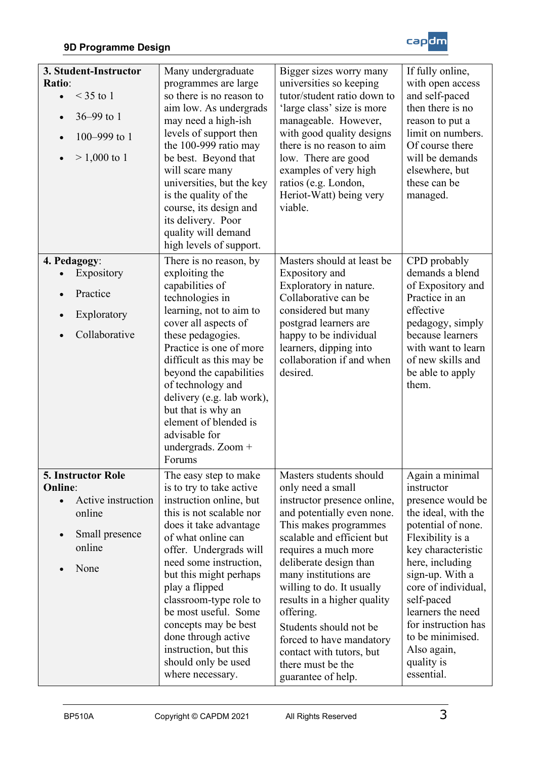

| 3. Student-Instructor<br>Ratio:<br>$<$ 35 to 1<br>36-99 to 1<br>100-999 to 1<br>$> 1,000$ to 1           | Many undergraduate<br>programmes are large<br>so there is no reason to<br>aim low. As undergrads<br>may need a high-ish<br>levels of support then<br>the 100-999 ratio may<br>be best. Beyond that<br>will scare many<br>universities, but the key<br>is the quality of the<br>course, its design and<br>its delivery. Poor<br>quality will demand<br>high levels of support.                                                 | Bigger sizes worry many<br>universities so keeping<br>tutor/student ratio down to<br>'large class' size is more<br>manageable. However,<br>with good quality designs<br>there is no reason to aim<br>low. There are good<br>examples of very high<br>ratios (e.g. London,<br>Heriot-Watt) being very<br>viable.                                                                                                                                   | If fully online,<br>with open access<br>and self-paced<br>then there is no<br>reason to put a<br>limit on numbers.<br>Of course there<br>will be demands<br>elsewhere, but<br>these can be<br>managed.                                                                                                                          |
|----------------------------------------------------------------------------------------------------------|-------------------------------------------------------------------------------------------------------------------------------------------------------------------------------------------------------------------------------------------------------------------------------------------------------------------------------------------------------------------------------------------------------------------------------|---------------------------------------------------------------------------------------------------------------------------------------------------------------------------------------------------------------------------------------------------------------------------------------------------------------------------------------------------------------------------------------------------------------------------------------------------|---------------------------------------------------------------------------------------------------------------------------------------------------------------------------------------------------------------------------------------------------------------------------------------------------------------------------------|
| 4. Pedagogy:<br>Expository<br>Practice<br>Exploratory<br>Collaborative                                   | There is no reason, by<br>exploiting the<br>capabilities of<br>technologies in<br>learning, not to aim to<br>cover all aspects of<br>these pedagogies.<br>Practice is one of more<br>difficult as this may be<br>beyond the capabilities<br>of technology and<br>delivery (e.g. lab work),<br>but that is why an<br>element of blended is<br>advisable for<br>undergrads. Zoom $+$<br>Forums                                  | Masters should at least be<br>Expository and<br>Exploratory in nature.<br>Collaborative can be<br>considered but many<br>postgrad learners are<br>happy to be individual<br>learners, dipping into<br>collaboration if and when<br>desired.                                                                                                                                                                                                       | CPD probably<br>demands a blend<br>of Expository and<br>Practice in an<br>effective<br>pedagogy, simply<br>because learners<br>with want to learn<br>of new skills and<br>be able to apply<br>them.                                                                                                                             |
| 5. Instructor Role<br><b>Online:</b><br>Active instruction<br>online<br>Small presence<br>online<br>None | The easy step to make<br>is to try to take active<br>instruction online, but<br>this is not scalable nor<br>does it take advantage<br>of what online can<br>offer. Undergrads will<br>need some instruction,<br>but this might perhaps<br>play a flipped<br>classroom-type role to<br>be most useful. Some<br>concepts may be best<br>done through active<br>instruction, but this<br>should only be used<br>where necessary. | Masters students should<br>only need a small<br>instructor presence online,<br>and potentially even none.<br>This makes programmes<br>scalable and efficient but<br>requires a much more<br>deliberate design than<br>many institutions are<br>willing to do. It usually<br>results in a higher quality<br>offering.<br>Students should not be<br>forced to have mandatory<br>contact with tutors, but<br>there must be the<br>guarantee of help. | Again a minimal<br>instructor<br>presence would be<br>the ideal, with the<br>potential of none.<br>Flexibility is a<br>key characteristic<br>here, including<br>sign-up. With a<br>core of individual,<br>self-paced<br>learners the need<br>for instruction has<br>to be minimised.<br>Also again,<br>quality is<br>essential. |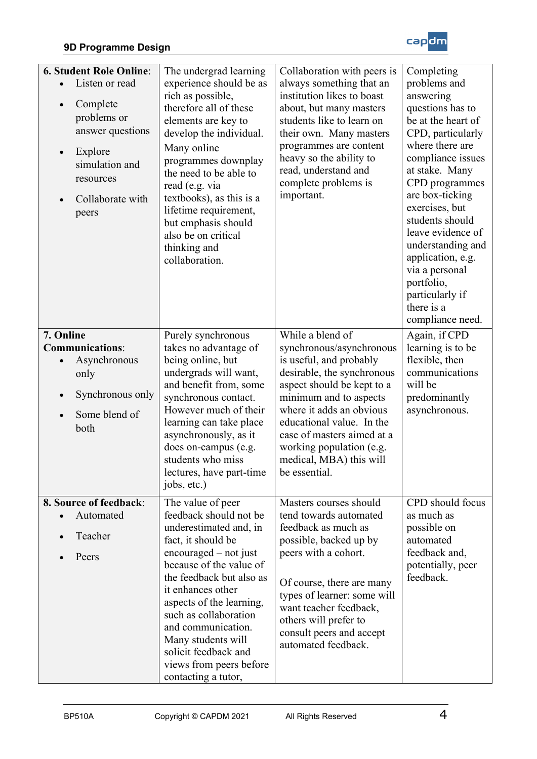#### **9D Programme Design**



| <b>6. Student Role Online:</b><br>Listen or read<br>Complete<br>$\bullet$<br>problems or<br>answer questions<br>Explore<br>$\bullet$<br>simulation and<br>resources<br>Collaborate with<br>peers | The undergrad learning<br>experience should be as<br>rich as possible,<br>therefore all of these<br>elements are key to<br>develop the individual.<br>Many online<br>programmes downplay<br>the need to be able to<br>read (e.g. via<br>textbooks), as this is a<br>lifetime requirement,<br>but emphasis should<br>also be on critical<br>thinking and<br>collaboration.     | Collaboration with peers is<br>always something that an<br>institution likes to boast<br>about, but many masters<br>students like to learn on<br>their own. Many masters<br>programmes are content<br>heavy so the ability to<br>read, understand and<br>complete problems is<br>important.                                  | Completing<br>problems and<br>answering<br>questions has to<br>be at the heart of<br>CPD, particularly<br>where there are<br>compliance issues<br>at stake. Many<br>CPD programmes<br>are box-ticking<br>exercises, but<br>students should<br>leave evidence of<br>understanding and<br>application, e.g.<br>via a personal<br>portfolio,<br>particularly if<br>there is a<br>compliance need. |
|--------------------------------------------------------------------------------------------------------------------------------------------------------------------------------------------------|-------------------------------------------------------------------------------------------------------------------------------------------------------------------------------------------------------------------------------------------------------------------------------------------------------------------------------------------------------------------------------|------------------------------------------------------------------------------------------------------------------------------------------------------------------------------------------------------------------------------------------------------------------------------------------------------------------------------|------------------------------------------------------------------------------------------------------------------------------------------------------------------------------------------------------------------------------------------------------------------------------------------------------------------------------------------------------------------------------------------------|
| 7. Online<br><b>Communications:</b><br>Asynchronous<br>only<br>Synchronous only<br>Some blend of<br>both                                                                                         | Purely synchronous<br>takes no advantage of<br>being online, but<br>undergrads will want,<br>and benefit from, some<br>synchronous contact.<br>However much of their<br>learning can take place<br>asynchronously, as it<br>does on-campus (e.g.<br>students who miss<br>lectures, have part-time<br>jobs, etc.)                                                              | While a blend of<br>synchronous/asynchronous<br>is useful, and probably<br>desirable, the synchronous<br>aspect should be kept to a<br>minimum and to aspects<br>where it adds an obvious<br>educational value. In the<br>case of masters aimed at a<br>working population (e.g.<br>medical, MBA) this will<br>be essential. | Again, if CPD<br>learning is to be<br>flexible, then<br>communications<br>will be<br>predominantly<br>asynchronous.                                                                                                                                                                                                                                                                            |
| 8. Source of feedback:<br>Automated<br>Teacher<br>Peers                                                                                                                                          | The value of peer<br>feedback should not be<br>underestimated and, in<br>fact, it should be<br>$encouraged - not just$<br>because of the value of<br>the feedback but also as<br>it enhances other<br>aspects of the learning,<br>such as collaboration<br>and communication.<br>Many students will<br>solicit feedback and<br>views from peers before<br>contacting a tutor, | Masters courses should<br>tend towards automated<br>feedback as much as<br>possible, backed up by<br>peers with a cohort.<br>Of course, there are many<br>types of learner: some will<br>want teacher feedback,<br>others will prefer to<br>consult peers and accept<br>automated feedback.                                  | CPD should focus<br>as much as<br>possible on<br>automated<br>feedback and,<br>potentially, peer<br>feedback.                                                                                                                                                                                                                                                                                  |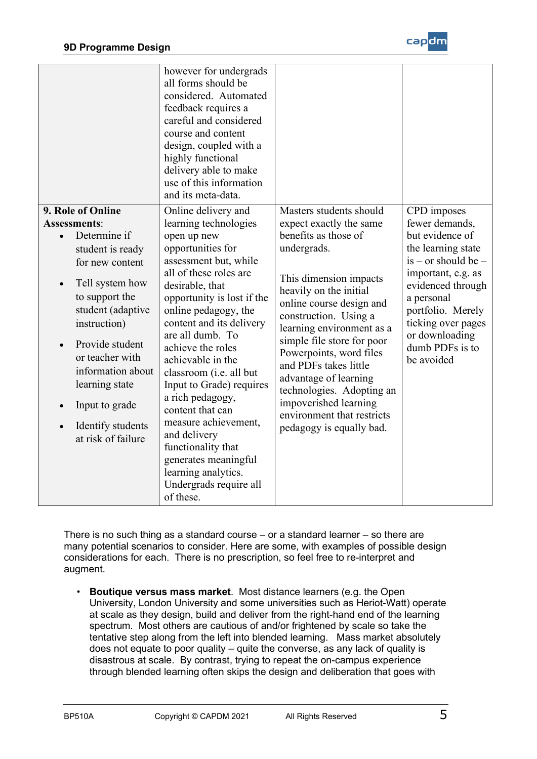

|                                                                                                                                                                                                                                                                                                                                                            | however for undergrads<br>all forms should be<br>considered. Automated<br>feedback requires a<br>careful and considered<br>course and content<br>design, coupled with a<br>highly functional<br>delivery able to make<br>use of this information<br>and its meta-data.                                                                                                                                                                                                                                                                                    |                                                                                                                                                                                                                                                                                                                                                                                                                                                            |                                                                                                                                                                                                                                                        |
|------------------------------------------------------------------------------------------------------------------------------------------------------------------------------------------------------------------------------------------------------------------------------------------------------------------------------------------------------------|-----------------------------------------------------------------------------------------------------------------------------------------------------------------------------------------------------------------------------------------------------------------------------------------------------------------------------------------------------------------------------------------------------------------------------------------------------------------------------------------------------------------------------------------------------------|------------------------------------------------------------------------------------------------------------------------------------------------------------------------------------------------------------------------------------------------------------------------------------------------------------------------------------------------------------------------------------------------------------------------------------------------------------|--------------------------------------------------------------------------------------------------------------------------------------------------------------------------------------------------------------------------------------------------------|
| 9. Role of Online<br><b>Assessments:</b><br>Determine if<br>$\bullet$<br>student is ready<br>for new content<br>Tell system how<br>$\bullet$<br>to support the<br>student (adaptive<br>instruction)<br>Provide student<br>$\bullet$<br>or teacher with<br>information about<br>learning state<br>Input to grade<br>Identify students<br>at risk of failure | Online delivery and<br>learning technologies<br>open up new<br>opportunities for<br>assessment but, while<br>all of these roles are<br>desirable, that<br>opportunity is lost if the<br>online pedagogy, the<br>content and its delivery<br>are all dumb. To<br>achieve the roles<br>achievable in the<br>classroom (i.e. all but<br>Input to Grade) requires<br>a rich pedagogy,<br>content that can<br>measure achievement,<br>and delivery<br>functionality that<br>generates meaningful<br>learning analytics.<br>Undergrads require all<br>of these. | Masters students should<br>expect exactly the same<br>benefits as those of<br>undergrads.<br>This dimension impacts<br>heavily on the initial<br>online course design and<br>construction. Using a<br>learning environment as a<br>simple file store for poor<br>Powerpoints, word files<br>and PDFs takes little<br>advantage of learning<br>technologies. Adopting an<br>impoverished learning<br>environment that restricts<br>pedagogy is equally bad. | CPD imposes<br>fewer demands,<br>but evidence of<br>the learning state<br>$is - or should be -$<br>important, e.g. as<br>evidenced through<br>a personal<br>portfolio. Merely<br>ticking over pages<br>or downloading<br>dumb PDFs is to<br>be avoided |

There is no such thing as a standard course – or a standard learner – so there are many potential scenarios to consider. Here are some, with examples of possible design considerations for each. There is no prescription, so feel free to re-interpret and augment.

• **Boutique versus mass market**. Most distance learners (e.g. the Open University, London University and some universities such as Heriot-Watt) operate at scale as they design, build and deliver from the right-hand end of the learning spectrum. Most others are cautious of and/or frightened by scale so take the tentative step along from the left into blended learning. Mass market absolutely does not equate to poor quality – quite the converse, as any lack of quality is disastrous at scale. By contrast, trying to repeat the on-campus experience through blended learning often skips the design and deliberation that goes with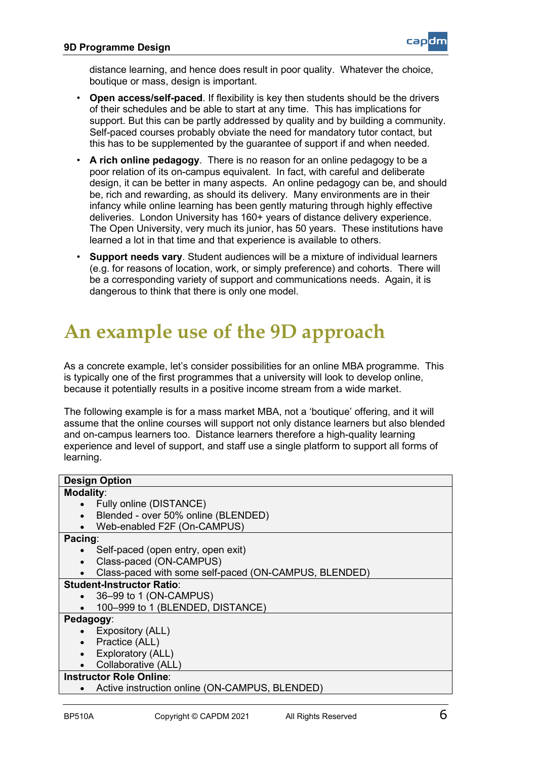

distance learning, and hence does result in poor quality. Whatever the choice, boutique or mass, design is important.

- **Open access/self-paced**. If flexibility is key then students should be the drivers of their schedules and be able to start at any time. This has implications for support. But this can be partly addressed by quality and by building a community. Self-paced courses probably obviate the need for mandatory tutor contact, but this has to be supplemented by the guarantee of support if and when needed.
- **A rich online pedagogy**. There is no reason for an online pedagogy to be a poor relation of its on-campus equivalent. In fact, with careful and deliberate design, it can be better in many aspects. An online pedagogy can be, and should be, rich and rewarding, as should its delivery. Many environments are in their infancy while online learning has been gently maturing through highly effective deliveries. London University has 160+ years of distance delivery experience. The Open University, very much its junior, has 50 years. These institutions have learned a lot in that time and that experience is available to others.
- **Support needs vary**. Student audiences will be a mixture of individual learners (e.g. for reasons of location, work, or simply preference) and cohorts. There will be a corresponding variety of support and communications needs. Again, it is dangerous to think that there is only one model.

# **An example use of the 9D approach**

As a concrete example, let's consider possibilities for an online MBA programme. This is typically one of the first programmes that a university will look to develop online, because it potentially results in a positive income stream from a wide market.

The following example is for a mass market MBA, not a 'boutique' offering, and it will assume that the online courses will support not only distance learners but also blended and on-campus learners too. Distance learners therefore a high-quality learning experience and level of support, and staff use a single platform to support all forms of learning.

| <b>Design Option</b>                                  |
|-------------------------------------------------------|
| <b>Modality:</b>                                      |
| Fully online (DISTANCE)                               |
| Blended - over 50% online (BLENDED)<br>$\bullet$      |
| Web-enabled F2F (On-CAMPUS)<br>$\bullet$              |
| Pacing:                                               |
| Self-paced (open entry, open exit)                    |
| Class-paced (ON-CAMPUS)                               |
| Class-paced with some self-paced (ON-CAMPUS, BLENDED) |
| <b>Student-Instructor Ratio:</b>                      |
| 36-99 to 1 (ON-CAMPUS)<br>$\bullet$                   |
| 100-999 to 1 (BLENDED, DISTANCE)                      |
| Pedagogy:                                             |
| Expository (ALL)                                      |
| Practice (ALL)<br>$\bullet$                           |
| Exploratory (ALL)<br>$\bullet$                        |
| Collaborative (ALL)                                   |
| <b>Instructor Role Online:</b>                        |
| Active instruction online (ON-CAMPUS, BLENDED)        |
|                                                       |